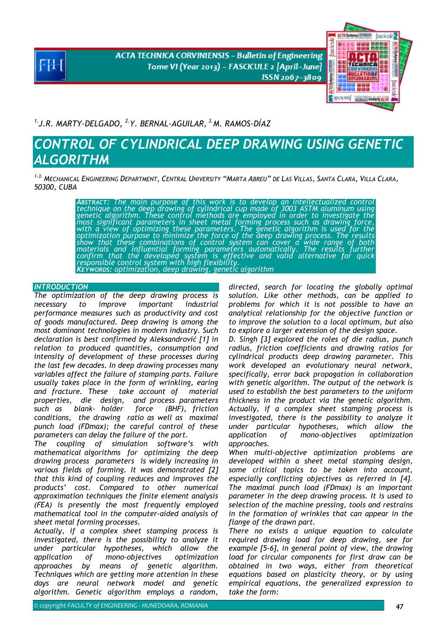**ACTA TECHNICA CORVINIENSIS - Bulletin of Engineering** Tome VI (Year 2013) - FASCICULE 2 [April-June] ISSN 2067-3809



*1.J.R. MARTY-DELGADO, 2.Y. BERNAL-AGUILAR, 3.M. RAMOS-DÍAZ* 

# *CONTROL OF CYLINDRICAL DEEP DRAWING USING GENETIC ALGORITHM*

*1-3. MECHANICAL ENGINEERING DEPARTMENT, CENTRAL UNIVERSITY "MARTA ABREU" DE LAS VILLAS, SANTA CLARA, VILLA CLARA, 50300, CUBA* 

> *ABSTRACT: The main purpose of this work is to develop an intellectualized control technique on the deep drawing of cylindrical cup made of 3003 ASTM aluminum using genetic algorithm. These control methods are employed in order to investigate the most significant parameters in sheet metal forming process such as drawing force,*  with a view of optimizing these parameters. The genetic algorithm is used for the<br>optimization purpose to minimize the force of the deep drawing process. The results show that these combinations of control system can cover a wide range of both<br>materials and influential forming parameters automatically. The results further<br>confirm that the developed system is effective and valid alterna *KEYWORDS: optimization, deep drawing, genetic algorithm*

## **INTRODUCTION**

*The optimization of the deep drawing process is necessary to improve important industrial performance measures such as productivity and cost of goods manufactured. Deep drawing is among the most dominant technologies in modern industry. Such declaration is best confirmed by Aleksandrović [1] in relation to produced quantities, consumption and intensity of development of these processes during the last few decades. In deep drawing processes many variables affect the failure of stamping parts. Failure usually takes place in the form of wrinkling, earing and fracture. These take account of material properties, die design, and process parameters such as blank- holder force (BHF), friction conditions, the drawing ratio as well as maximal punch load (FDmax); the careful control of these parameters can delay the failure of the part.* 

*The coupling of simulation software's with mathematical algorithms for optimizing the deep drawing process parameters is widely increasing in various fields of forming. It was demonstrated [2] that this kind of coupling reduces and improves the products' cost. Compared to other numerical approximation techniques the finite element analysis (FEA) is presently the most frequently employed mathematical tool in the computer-aided analysis of sheet metal forming processes.* 

*Actually, if a complex sheet stamping process is investigated, there is the possibility to analyze it under particular hypotheses, which allow the application of mono-objectives optimization approaches by means of genetic algorithm. Techniques which are getting more attention in these days are neural network model and genetic algorithm. Genetic algorithm employs a random,* 

*directed, search for locating the globally optimal solution. Like other methods, can be applied to problems for which it is not possible to have an analytical relationship for the objective function or to improve the solution to a local optimum, but also to explore a larger extension of the design space.* 

*D. Singh [3] explored the roles of die radius, punch radius, friction coefficients and drawing ratios for cylindrical products deep drawing parameter. This work developed an evolutionary neural network, specifically, error back propagation in collaboration with genetic algorithm. The output of the network is used to establish the best parameters to the uniform thickness in the product via the genetic algorithm. Actually, if a complex sheet stamping process is investigated, there is the possibility to analyze it under particular hypotheses, which allow the application of mono-objectives optimization approaches.* 

*When multi-objective optimization problems are developed within a sheet metal stamping design, some critical topics to be taken into account, especially conflicting objectives as referred in [4]. The maximal punch load (FDmax) is an important parameter in the deep drawing process. It is used to selection of the machine pressing, tools and restrains in the formation of wrinkles that can appear in the flange of the drawn part.* 

*There no exists a unique equation to calculate required drawing load for deep drawing, see for example [5-6], in general point of view, the drawing load for circular components for first draw can be obtained in two ways, either from theoretical equations based on plasticity theory, or by using empirical equations, the generalized expression to take the form:*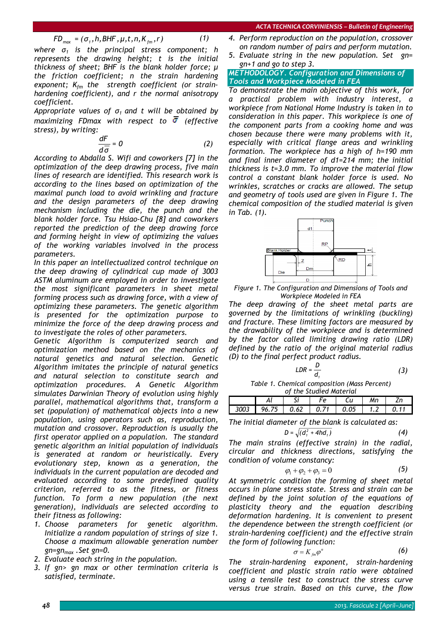$$
FD_{\text{max}} = (\sigma_1, h, BHF, \mu, t, n, K_{\text{fm}}, r) \tag{1}
$$

*where σ1 is the principal stress component; h represents the drawing height; t is the initial thickness of sheet; BHF is the blank holder force; μ the friction coefficient; n the strain hardening*  exponent;  $K_{fm}$  the strength coefficient (or strain*hardening coefficient), and r the normal anisotropy coefficient.* 

*Appropriate values of σ1 and t will be obtained by maximizing FDmax with respect to (effective stress), by writing:* 

$$
\frac{dF}{d\overline{\sigma}} = 0 \tag{2}
$$

*According to Abdalla S. Wifi and coworkers [7] in the optimization of the deep drawing process, five main lines of research are identified. This research work is according to the lines based on optimization of the maximal punch load to avoid wrinkling and fracture and the design parameters of the deep drawing mechanism including the die, the punch and the blank holder force. Tsu Hsiao-Chu [8] and coworkers reported the prediction of the deep drawing force and forming height in view of optimizing the values of the working variables involved in the process parameters.* 

*In this paper an intellectualized control technique on the deep drawing of cylindrical cup made of 3003 ASTM aluminum are employed in order to investigate the most significant parameters in sheet metal forming process such as drawing force, with a view of optimizing these parameters. The genetic algorithm is presented for the optimization purpose to minimize the force of the deep drawing process and to investigate the roles of other parameters.* 

*Genetic Algorithm is computerized search and optimization method based on the mechanics of natural genetics and natural selection. Genetic Algorithm imitates the principle of natural genetics and natural selection to constitute search and optimization procedures. A Genetic Algorithm simulates Darwinian Theory of evolution using highly parallel, mathematical algorithms that, transform a set (population) of mathematical objects into a new population, using operators such as, reproduction, mutation and crossover. Reproduction is usually the first operator applied on a population. The standard genetic algorithm an initial population of individuals is generated at random or heuristically. Every evolutionary step, known as a generation, the individuals in the current population are decoded and evaluated according to some predefined quality criterion, referred to as the fitness, or fitness function. To form a new population (the next generation), individuals are selected according to their fitness as following:* 

- *1. Choose parameters for genetic algorithm. Initialize a random population of strings of size 1. Choose a maximum allowable generation number gn=gnmax .Set gn=0.*
- *2. Evaluate each string in the population.*
- *3. If gn> gn max or other termination criteria is satisfied, terminate.*
- *4. Perform reproduction on the population, crossover on random number of pairs and perform mutation.*
- *5. Evaluate string in the new population. Set gn= gn+1 and go to step 3.*

## *METHODOLOGY. Configuration and Dimensions of Tools and Workpiece Modeled in FEA*

*To demonstrate the main objective of this work, for a practical problem with industry interest, a workpiece from National Home Industry is taken in to consideration in this paper. This workpiece is one of the component parts from a cooking home and was chosen because there were many problems with it, especially with critical flange areas and wrinkling formation. The workpiece has a high of h=190 mm and final inner diameter of d1=214 mm; the initial thickness is t=3.0 mm. To improve the material flow control a constant blank holder force is used. No wrinkles, scratches or cracks are allowed. The setup and geometry of tools used are given in Figure 1. The chemical composition of the studied material is given in Tab. (1).* 



*Figure 1. The Configuration and Dimensions of Tools and Workpiece Modeled in FEA*

*The deep drawing of the sheet metal parts are governed by the limitations of wrinkling (buckling) and fracture. These limiting factors are measured by the drawability of the workpiece and is determined by the factor called limiting drawing ratio (LDR) defined by the ratio of the original material radius (D) to the final perfect product radius.* 

$$
LDR = \frac{D}{d_t}
$$
 (3)

*Table 1. Chemical composition (Mass Percent) of the Studied Material* 

| -                                  |  |
|------------------------------------|--|
| 62<br>በፍ<br>- 75 -<br>. . <u>.</u> |  |

*The initial diameter of the blank is calculated as:* 

$$
D = \sqrt{\left(d_1^2 + 4hd_1\right)}\tag{4}
$$

*The main strains (effective strain) in the radial, circular and thickness directions, satisfying the condition of volume constancy:* 

$$
\varphi_1 + \varphi_2 + \varphi_3 = 0 \tag{5}
$$

*At symmetric condition the forming of sheet metal occurs in plane stress state. Stress and strain can be defined by the joint solution of the equations of plasticity theory and the equation describing deformation hardening. It is convenient to present the dependence between the strength coefficient (or strain-hardening coefficient) and the effective strain the form of following function:* 

$$
\sigma = K_{\scriptscriptstyle \hat{f}m} \varphi^n \tag{6}
$$

*The strain-hardening exponent, strain-hardening coefficient and plastic strain ratio were obtained using a tensile test to construct the stress curve versus true strain. Based on this curve, the flow*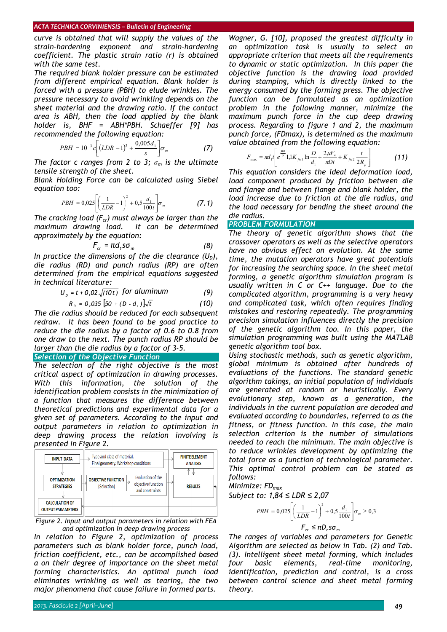#### *ACTA TECHNICA CORVINIENSIS – Bulletin of Engineering*

*curve is obtained that will supply the values of the strain-hardening exponent and strain-hardening coefficient. The plastic strain ratio (r) is obtained with the same test.* 

*The required blank holder pressure can be estimated from different empirical equation. Blank holder is forced with a pressure (PBH) to elude wrinkles. The pressure necessary to avoid wrinkling depends on the sheet material and the drawing ratio. If the contact area is ABH, then the load applied by the blank holder is, BHF = ABH\*PBH. Schaeffer [9] has recommended the following equation:* 

$$
PBH = 10^{-3} c \left[ (LDR - 1)^3 + \frac{0,005 d_1}{s} \right] \sigma_m \tag{7}
$$

*The factor c ranges from 2 to 3; σm is the ultimate tensile strength of the sheet.* 

*Blank Holding Force can be calculated using Siebel equation too:* 

$$
PBH = 0.025 \left[ \left( \frac{1}{LDR} - 1 \right)^2 + 0.5 \frac{d_1}{100t} \right] \sigma_m
$$
 (7.1)

The cracking load  $(F_{cr})$  must always be larger than the *maximum drawing load. It can be determined approximately by the equation:* 

$$
F_{cr} = \pi d_1 s \sigma_m \tag{8}
$$

In practice the dimensions of the die clearance  $(U_D)$ , *die radius (RD) and punch radius (RP) are often determined from the empirical equations suggested in technical literature:* 

$$
U_{p} = t + 0.02\sqrt{(10t)} \text{ for aluminum} \qquad (9)
$$

$$
R_{D} = 0.035 [50 + (D - d_{1})] \sqrt{t}
$$
 (10)

*The die radius should be reduced for each subsequent redraw. It has been found to be good practice to reduce the die radius by a factor of 0.6 to 0.8 from one draw to the next. The punch radius RP should be larger than the die radius by a factor of 3-5.* 

#### *Selection of the Objective Function*

*The selection of the right objective is the most critical aspect of optimization in drawing processes. With this information, the solution of the identification problem consists in the minimization of a function that measures the difference between theoretical predictions and experimental data for a given set of parameters. According to the input and output parameters in relation to optimization in deep drawing process the relation involving is presented in Figure 2.* 





*In relation to Figure 2, optimization of process parameters such as blank holder force, punch load, friction coefficient, etc., can be accomplished based a on their degree of importance on the sheet metal forming characteristics. An optimal punch load eliminates wrinkling as well as tearing, the two major phenomena that cause failure in formed parts.* 

*Wagner, G. [10], proposed the greatest difficulty in an optimization task is usually to select an appropriate criterion that meets all the requirements to dynamic or static optimization. In this paper the objective function is the drawing load provided during stamping, which is directly linked to the energy consumed by the forming press. The objective function can be formulated as an optimization problem in the following manner, minimize the maximum punch force in the cup deep drawing process. Regarding to figure 1 and 2, the maximum punch force, (FDmax), is determined as the maximum value obtained from the following equation:* 

$$
F_{\text{max}} = \pi d_1 t \left[ e^{\frac{\mu \pi}{2}} 1, 1K_{\text{fml}} \ln \frac{D}{d_1} + \frac{2 \mu F_n}{\pi D t} + K_{\text{fml}} \frac{t}{2R_p} \right]
$$
(11)

*This equation considers the ideal deformation load, load component produced by friction between die and flange and between flange and blank holder, the load increase due to friction at the die radius, and the load necessary for bending the sheet around the die radius.* 

## *PROBLEM FORMULATION*

*The theory of genetic algorithm shows that the crossover operators as well as the selective operators have no obvious effect on evolution. At the same time, the mutation operators have great potentials for increasing the searching space. In the sheet metal forming, a genetic algorithm simulation program is usually written in C or C++ language. Due to the complicated algorithm, programming is a very heavy and complicated task, which often requires finding mistakes and restoring repeatedly. The programming precision simulation influences directly the precision of the genetic algorithm too. In this paper, the simulation programming was built using the MATLAB genetic algorithm tool box.* 

*Using stochastic methods, such as genetic algorithm, global minimum is obtained after hundreds of evaluations of the functions. The standard genetic algorithm takings, an initial population of individuals are generated at random or heuristically. Every evolutionary step, known as a generation, the individuals in the current population are decoded and evaluated according to boundaries, referred to as the fitness, or fitness function. In this case, the main selection criterion is the number of simulations needed to reach the minimum. The main objective is to reduce wrinkles development by optimizing the total force as a function of technological parameter. This optimal control problem can be stated as follows:* 

*Minimize: FDmax* 

*Subject to: 1,84* ≤ *LDR* ≤ *2,07*

$$
PBH = 0,025 \left[ \left( \frac{1}{LDR} - 1 \right)^2 + 0.5 \frac{d_1}{100t} \right] \sigma_m \ge 0.3
$$
  

$$
F_{cr} \le \pi D_r s \sigma_m
$$

*The ranges of variables and parameters for Genetic Algorithm are selected as below in Tab. (2) and Tab. (3). Intelligent sheet metal forming, which includes four basic elements, real-time monitoring, identification, prediction and control, is a cross between control science and sheet metal forming theory.*